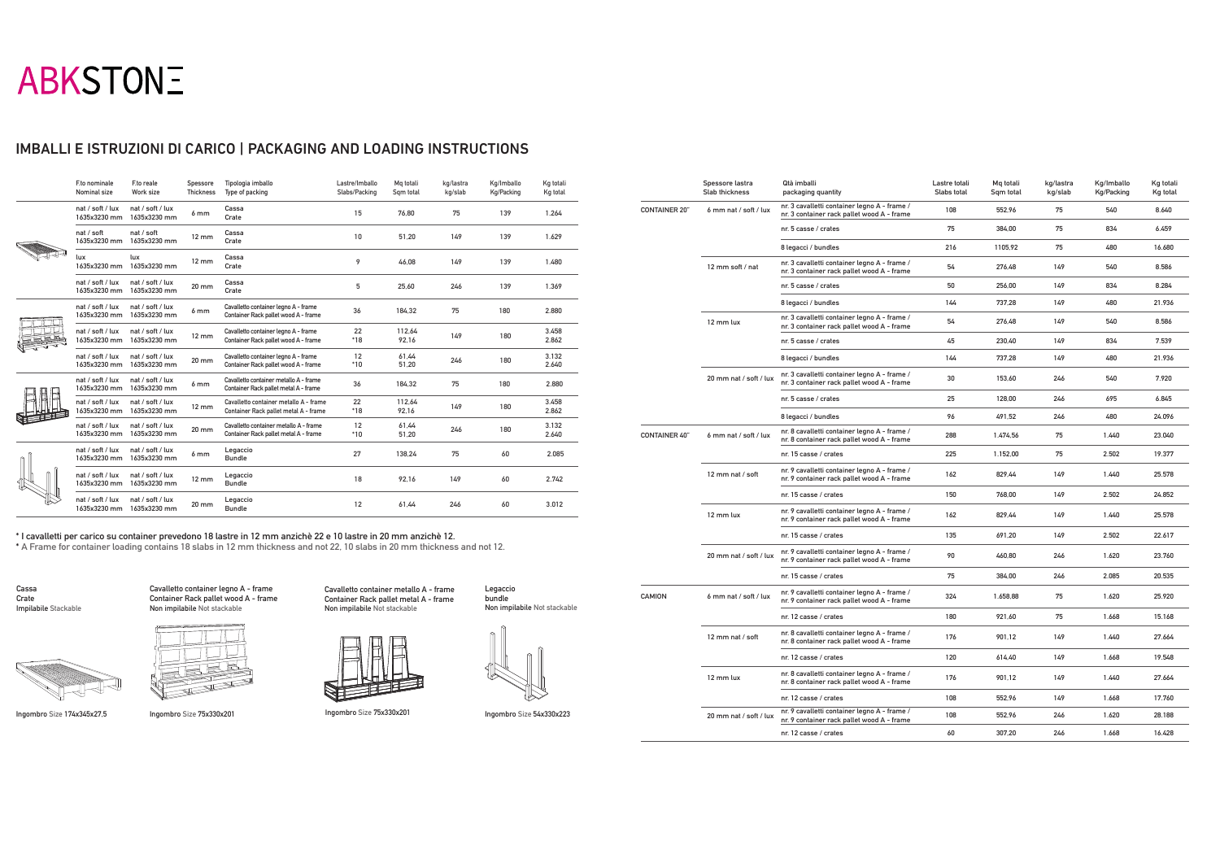# **ABKSTONE**

## IMBALLI E ISTRUZIONI DI CARICO | PACKAGING AND LOADING INSTRUCTIONS

| F.to nominale<br>Nominal size    | <b>Eto reale</b><br>Work size    | Spessore<br><b>Thickness</b> | Tipologia imballo<br>Type of packing                                            | Lastre/Imballo<br>Slabs/Packing | Mg totali<br>Sqm total | kg/lastra<br>kg/slab | Kg/Imballo<br>Kg/Packing | Kg totali<br>Kg total |
|----------------------------------|----------------------------------|------------------------------|---------------------------------------------------------------------------------|---------------------------------|------------------------|----------------------|--------------------------|-----------------------|
| nat / soft / lux<br>1635x3230 mm | nat / soft / lux<br>1635x3230 mm | 6 <sub>mm</sub>              | Cassa<br>Crate                                                                  | 15                              | 76.80                  | 75                   | 139                      | 1.264                 |
| nat / soft<br>1635x3230 mm       | nat / soft<br>1635x3230 mm       | $12 \, \text{mm}$            | Cassa<br>Crate                                                                  | 10                              | 51.20                  | 149                  | 139                      | 1.629                 |
| lux<br>1635x3230 mm              | lux<br>1635x3230 mm              | $12 \, \text{mm}$            | Cassa<br>Crate                                                                  | 9                               | 46.08                  | 149                  | 139                      | 1.480                 |
| nat / soft / lux<br>1635x3230 mm | nat / soft / lux<br>1635x3230 mm | 20 mm                        | Cassa<br>Crate                                                                  | 5                               | 25.60                  | 246                  | 139                      | 1.369                 |
| nat / soft / lux<br>1635x3230 mm | nat / soft / lux<br>1635x3230 mm | 6 <sub>mm</sub>              | Cavalletto container legno A - frame<br>Container Rack pallet wood A - frame    | 36                              | 184,32                 | 75                   | 180                      | 2.880                 |
| nat / soft / lux<br>1635x3230 mm | nat / soft / lux<br>1635x3230 mm | 12 mm                        | Cavalletto container legno A - frame<br>Container Rack pallet wood A - frame    | 22<br>$*18$                     | 112,64<br>92,16        | 149                  | 180                      | 3.458<br>2.862        |
| nat / soft / lux<br>1635x3230 mm | nat / soft / lux<br>1635x3230 mm | 20 mm                        | Cavalletto container legno A - frame<br>Container Rack pallet wood A - frame    | 12<br>$*10$                     | 61.44<br>51,20         | 246                  | 180                      | 3.132<br>2.640        |
| nat / soft / lux<br>1635x3230 mm | nat / soft / lux<br>1635x3230 mm | 6 <sub>mm</sub>              | Cavalletto container metallo A - frame<br>Container Rack pallet metal A - frame | 36                              | 184.32                 | 75                   | 180                      | 2.880                 |
| nat / soft / lux<br>1635x3230 mm | nat / soft / lux<br>1635x3230 mm | $12 \text{ mm}$              | Cavalletto container metallo A - frame<br>Container Rack pallet metal A - frame | 22<br>$*18$                     | 112.64<br>92,16        | 149                  | 180                      | 3.458<br>2.862        |
| nat / soft / lux<br>1635x3230 mm | nat / soft / lux<br>1635x3230 mm | 20 mm                        | Cavalletto container metallo A - frame<br>Container Rack pallet metal A - frame | 12<br>$*10$                     | 61,44<br>51,20         | 246                  | 180                      | 3.132<br>2.640        |
| nat / soft / lux<br>1635x3230 mm | nat / soft / lux<br>1635x3230 mm | 6 <sub>mm</sub>              | Legaccio<br><b>Bundle</b>                                                       | 27                              | 138,24                 | 75                   | 60                       | 2.085                 |
| nat / soft / lux<br>1635x3230 mm | nat / soft / lux<br>1635x3230 mm | $12 \text{ mm}$              | Legaccio<br><b>Bundle</b>                                                       | 18                              | 92,16                  | 149                  | 60                       | 2.742                 |
| nat / soft / lux<br>1635x3230 mm | nat / soft / lux<br>1635x3230 mm | 20 mm                        | Legaccio<br><b>Bundle</b>                                                       | 12                              | 61.44                  | 246                  | 60                       | 3.012                 |

**Ingombro Size 174x345x27,5**

**Cassa Crate Impilabile Stackable**

**Ingombro Size 75x330x201**

**Cavalletto container legno A - frame Container Rack pallet wood A - frame Non impilabile Not stackable**



**Cavalletto container metallo A - frame Container Rack pallet metal A - frame Non impilabile Not stackable**

**Ingombro Size 75x330x201 Ingombro Size 54x330x223**







#### **\* I cavalletti per carico su container prevedono 18 lastre in 12 mm anzichè 22 e 10 lastre in 20 mm anzichè 12.**

**\* A Frame for container loading contains 18 slabs in 12 mm thickness and not 22, 10 slabs in 20 mm thickness and not 12.**

|                      | Spessore lastra<br>Slab thickness | Qtà imballi<br>packaging quantity                                                          | Lastre totali<br>Slabs total | Mq totali<br>Sqm total | kg/lastra<br>kg/slab | Kg/Imballo<br>Kg/Packing | Kg totali<br>Kg total |
|----------------------|-----------------------------------|--------------------------------------------------------------------------------------------|------------------------------|------------------------|----------------------|--------------------------|-----------------------|
| <b>CONTAINER 20"</b> | 6 mm nat / soft / lux             | nr. 3 cavalletti container legno A - frame /<br>nr. 3 container rack pallet wood A - frame | 108                          | 552,96                 | 75                   | 540                      | 8.640                 |
|                      |                                   | nr. 5 casse / crates                                                                       | 75                           | 384,00                 | 75                   | 834                      | 6.459                 |
|                      |                                   | 8 legacci / bundles                                                                        | 216                          | 1105,92                | 75                   | 480                      | 16.680                |
|                      | 12 mm soft / nat                  | nr. 3 cavalletti container legno A - frame /<br>nr. 3 container rack pallet wood A - frame | 54                           | 276,48                 | 149                  | 540                      | 8.586                 |
|                      |                                   | nr. 5 casse / crates                                                                       | 50                           | 256,00                 | 149                  | 834                      | 8.284                 |
|                      |                                   | 8 legacci / bundles                                                                        | 144                          | 737,28                 | 149                  | 480                      | 21.936                |
|                      | 12 mm lux                         | nr. 3 cavalletti container legno A - frame /<br>nr. 3 container rack pallet wood A - frame | 54                           | 276,48                 | 149                  | 540                      | 8.586                 |
|                      |                                   | nr. 5 casse / crates                                                                       | 45                           | 230,40                 | 149                  | 834                      | 7.539                 |
|                      |                                   | 8 legacci / bundles                                                                        | 144                          | 737,28                 | 149                  | 480                      | 21.936                |
|                      | 20 mm nat / soft / lux            | nr. 3 cavalletti container legno A - frame /<br>nr. 3 container rack pallet wood A - frame | 30                           | 153,60                 | 246                  | 540                      | 7.920                 |
|                      |                                   | nr. 5 casse / crates                                                                       | 25                           | 128,00                 | 246                  | 695                      | 6.845                 |
|                      |                                   | 8 legacci / bundles                                                                        | 96                           | 491,52                 | 246                  | 480                      | 24.096                |
| <b>CONTAINER 40"</b> | 6 mm nat / soft / lux             | nr. 8 cavalletti container legno A - frame /<br>nr. 8 container rack pallet wood A - frame | 288                          | 1.474,56               | 75                   | 1.440                    | 23.040                |
|                      |                                   | nr. 15 casse / crates                                                                      | 225                          | 1.152,00               | 75                   | 2.502                    | 19.377                |
|                      | 12 mm nat / soft                  | nr. 9 cavalletti container legno A - frame /<br>nr. 9 container rack pallet wood A - frame | 162                          | 829,44                 | 149                  | 1.440                    | 25.578                |
|                      |                                   | nr. 15 casse / crates                                                                      | 150                          | 768.00                 | 149                  | 2.502                    | 24.852                |
|                      | 12 mm lux                         | nr. 9 cavalletti container legno A - frame /<br>nr. 9 container rack pallet wood A - frame | 162                          | 829,44                 | 149                  | 1.440                    | 25.578                |
|                      |                                   | nr. 15 casse / crates                                                                      | 135                          | 691,20                 | 149                  | 2.502                    | 22.617                |
|                      | 20 mm nat / soft / lux            | nr. 9 cavalletti container legno A - frame /<br>nr. 9 container rack pallet wood A - frame | 90                           | 460,80                 | 246                  | 1.620                    | 23.760                |
|                      |                                   | nr. 15 casse / crates                                                                      | 75                           | 384,00                 | 246                  | 2.085                    | 20.535                |
| <b>CAMION</b>        | 6 mm nat / soft / lux             | nr. 9 cavalletti container legno A - frame /<br>nr. 9 container rack pallet wood A - frame | 324                          | 1.658,88               | 75                   | 1.620                    | 25.920                |
|                      |                                   | nr. 12 casse / crates                                                                      | 180                          | 921,60                 | 75                   | 1.668                    | 15.168                |
|                      | 12 mm nat / soft                  | nr. 8 cavalletti container legno A - frame /<br>nr. 8 container rack pallet wood A - frame | 176                          | 901,12                 | 149                  | 1.440                    | 27.664                |
|                      |                                   | nr. 12 casse / crates                                                                      | 120                          | 614,40                 | 149                  | 1.668                    | 19.548                |
|                      | 12 mm lux                         | nr. 8 cavalletti container legno A - frame /<br>nr. 8 container rack pallet wood A - frame | 176                          | 901,12                 | 149                  | 1.440                    | 27.664                |
|                      |                                   | nr. 12 casse / crates                                                                      | 108                          | 552,96                 | 149                  | 1.668                    | 17.760                |
|                      | 20 mm nat / soft / lux            | nr. 9 cavalletti container legno A - frame /<br>nr. 9 container rack pallet wood A - frame | 108                          | 552,96                 | 246                  | 1.620                    | 28.188                |
|                      |                                   | nr. 12 casse / crates                                                                      | 60                           | 307,20                 | 246                  | 1.668                    | 16.428                |
|                      |                                   |                                                                                            |                              |                        |                      |                          |                       |